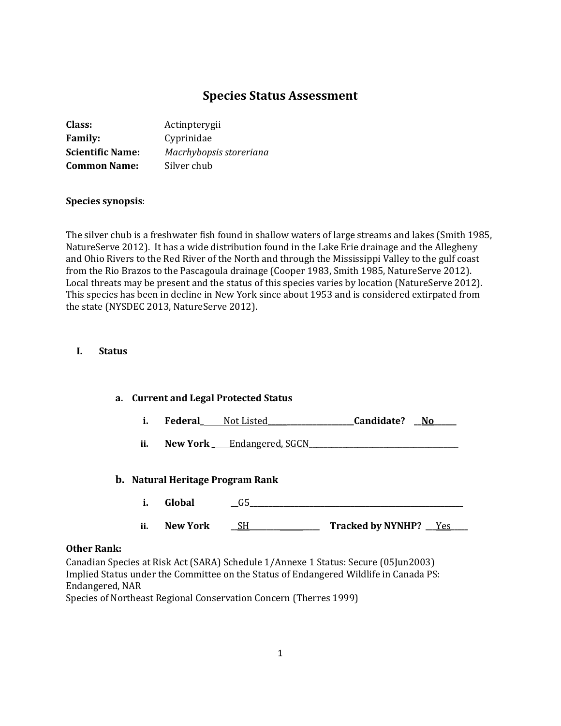# **Species Status Assessment**

| Class:                  | Actinpterygii           |
|-------------------------|-------------------------|
| <b>Family:</b>          | Cyprinidae              |
| <b>Scientific Name:</b> | Macrhybopsis storeriana |
| <b>Common Name:</b>     | Silver chub             |

#### **Species synopsis**:

The silver chub is a freshwater fish found in shallow waters of large streams and lakes (Smith 1985, NatureServe 2012). It has a wide distribution found in the Lake Erie drainage and the Allegheny and Ohio Rivers to the Red River of the North and through the Mississippi Valley to the gulf coast from the Rio Brazos to the Pascagoula drainage (Cooper 1983, Smith 1985, NatureServe 2012). Local threats may be present and the status of this species varies by location (NatureServe 2012). This species has been in decline in New York since about 1953 and is considered extirpated from the state (NYSDEC 2013, NatureServe 2012).

#### **I. Status**

| a. Current and Legal Protected Status |                                  |                                |            |       |
|---------------------------------------|----------------------------------|--------------------------------|------------|-------|
| i.                                    |                                  | <b>Federal</b> Not Listed      | Candidate? | No No |
| ii.                                   |                                  | New York ____ Endangered, SGCN |            |       |
|                                       | b. Natural Heritage Program Rank |                                |            |       |
| i.                                    | Global                           | G5                             |            |       |

## **ii. New York \_\_\_<u>SH</u>\_\_\_\_\_\_\_\_\_\_\_\_\_\_\_\_\_\_\_ Tracked by NYNHP? \_\_Yes**

#### **Other Rank:**

Canadian Species at Risk Act (SARA) Schedule 1/Annexe 1 Status: Secure (05Jun2003) Implied Status under the Committee on the Status of Endangered Wildlife in Canada PS: Endangered, NAR

Species of Northeast Regional Conservation Concern (Therres 1999)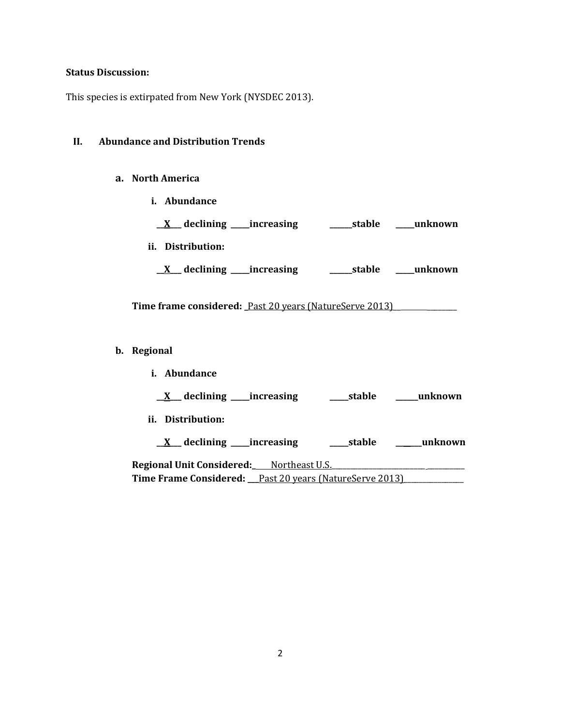## **Status Discussion:**

This species is extirpated from New York (NYSDEC 2013).

## **II. Abundance and Distribution Trends**

## **a. North America**

**i. Abundance**

| $X$ declining _____increasing                           | stable | unknown |
|---------------------------------------------------------|--------|---------|
| ii. Distribution:                                       |        |         |
| $X$ declining _____increasing                           | stable | unknown |
| Time frame considered: Past 20 years (NatureServe 2013) |        |         |

- **b. Regional** 
	- **i. Abundance \_\_X\_\_\_ declining \_\_\_\_\_increasing \_\_\_\_\_stable \_\_\_\_\_\_unknown ii. Distribution: \_\_X\_\_\_ declining \_\_\_\_\_increasing \_\_\_\_\_stable \_\_\_\_\_\_\_unknown**

**Regional Unit Considered:\_\_\_\_\_** Northeast U.S. Time Frame Considered: <u>Past 20 years (NatureServe 2013)</u>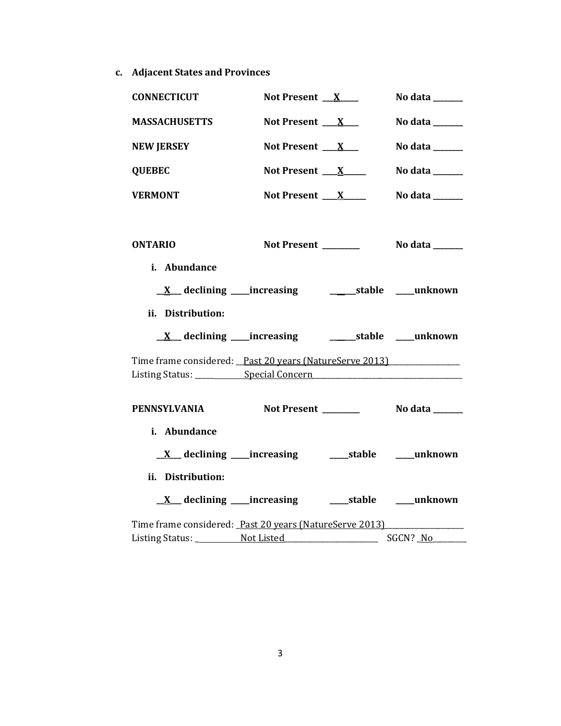**c. Adjacent States and Provinces**

| <b>CONNECTICUT</b>                                      | Not Present $X$     | No data $\_\_\_\_\_\_\_\_\_\_\_\_\_\_\_\_$ |
|---------------------------------------------------------|---------------------|--------------------------------------------|
| <b>MASSACHUSETTS</b>                                    | Not Present $X_{-}$ | No data $\_\_\_\_\_\_\_\_\_\_\$            |
| <b>NEW JERSEY</b>                                       | Not Present $X_{-}$ | No data $\_\_\_\_\_\_\_\_\_\_\_\_$         |
| <b>QUEBEC</b>                                           | Not Present $X$     | No data $\_\_\_\_\_\_\_\_\_\_\_\_\$        |
| <b>VERMONT</b>                                          | Not Present $X$     | No data ______                             |
| <b>ONTARIO</b><br>i. Abundance                          | Not Present _______ | No data _______                            |
| ii. Distribution:                                       |                     |                                            |
|                                                         |                     |                                            |
| Time frame considered: Past 20 years (NatureServe 2013) |                     |                                            |
| <b>PENNSYLVANIA</b>                                     |                     |                                            |
| i. Abundance                                            |                     |                                            |
| ii. Distribution:                                       |                     |                                            |
|                                                         |                     |                                            |
| Time frame considered: Past 20 years (NatureServe 2013) |                     |                                            |
|                                                         |                     |                                            |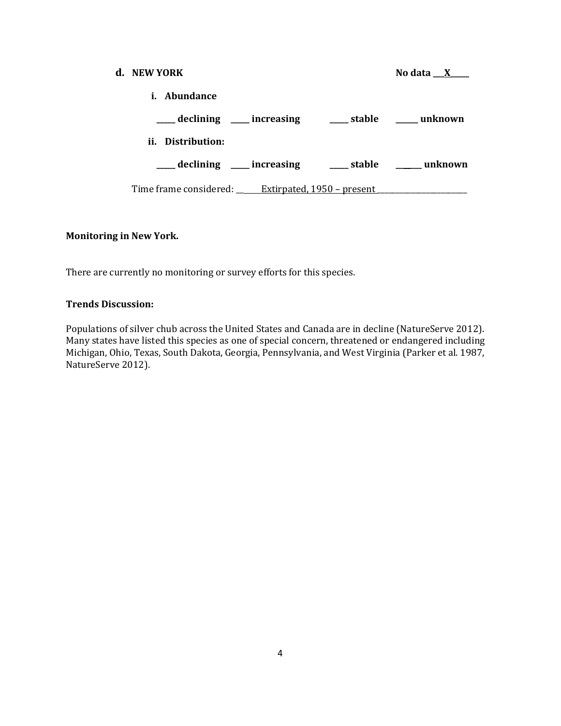# **d. NEW YORK No data \_\_X\_\_\_\_ i. Abundance \_\_\_\_\_ declining \_\_\_\_\_ increasing \_\_\_\_\_ stable \_\_\_\_\_\_ unknown ii. Distribution: \_\_\_\_\_ declining \_\_\_\_\_ increasing \_\_\_\_\_ stable \_\_\_\_\_\_\_ unknown** Time frame considered: \_\_\_\_\_\_ Extirpated, 1950 – present \_\_\_\_\_\_\_\_\_\_\_\_\_\_\_\_\_\_\_\_\_\_\_

## **Monitoring in New York.**

There are currently no monitoring or survey efforts for this species.

## **Trends Discussion:**

Populations of silver chub across the United States and Canada are in decline (NatureServe 2012). Many states have listed this species as one of special concern, threatened or endangered including Michigan, Ohio, Texas, South Dakota, Georgia, Pennsylvania, and West Virginia (Parker et al. 1987, NatureServe 2012).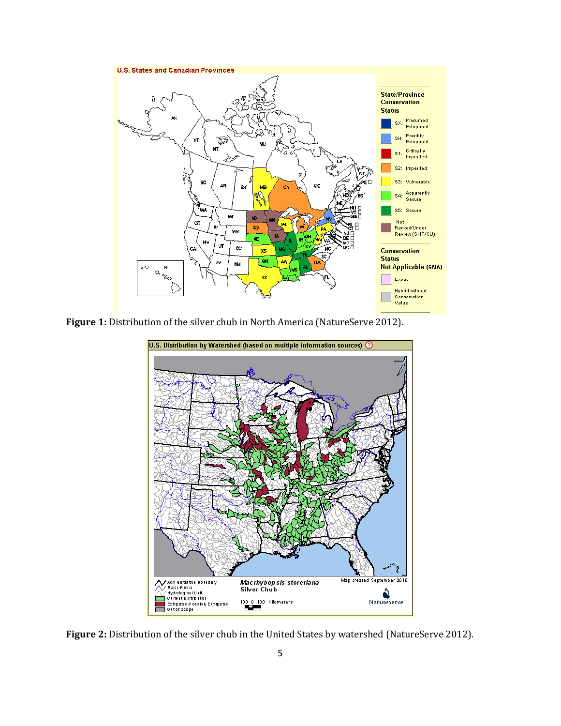

**Figure 1:** Distribution of the silver chub in North America (NatureServe 2012).



**Figure 2:** Distribution of the silver chub in the United States by watershed (NatureServe 2012).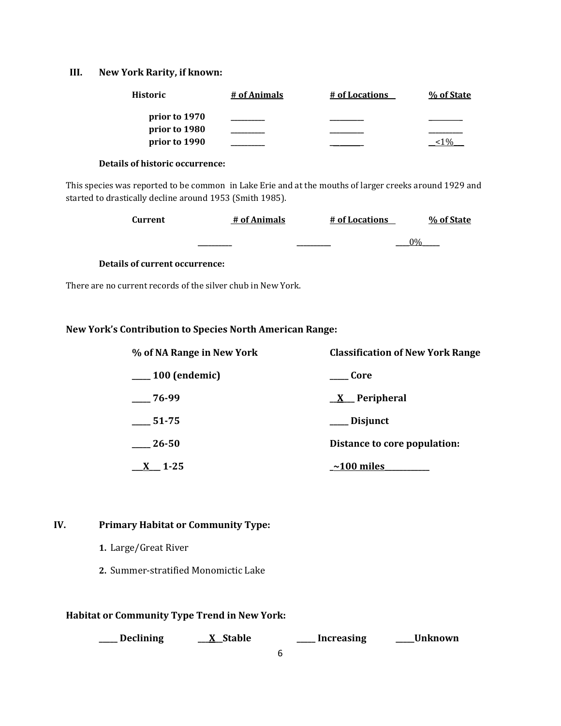## **III. New York Rarity, if known:**

| Historic      | # of Animals | # of Locations | % of State |
|---------------|--------------|----------------|------------|
| prior to 1970 |              |                |            |
| prior to 1980 |              |                |            |
| prior to 1990 |              |                |            |

#### **Details of historic occurrence:**

This species was reported to be common in Lake Erie and at the mouths of larger creeks around 1929 and started to drastically decline around 1953 (Smith 1985).

| Current | # of Animals | # of Locations | % of State |
|---------|--------------|----------------|------------|
|         |              |                | $\Omega$   |

#### **Details of current occurrence:**

There are no current records of the silver chub in New York.

## **New York's Contribution to Species North American Range:**

| % of NA Range in New York | <b>Classification of New York Range</b> |  |
|---------------------------|-----------------------------------------|--|
| $\_\_100$ (endemic)       | Core                                    |  |
| 76-99                     | $X$ Peripheral                          |  |
| $-51-75$                  | __ Disjunct                             |  |
| $-26-50$                  | Distance to core population:            |  |
| - 1-25                    | $\sim$ 100 miles                        |  |

## **IV. Primary Habitat or Community Type:**

- **1.** Large/Great River
- **2.** Summer-stratified Monomictic Lake

## **Habitat or Community Type Trend in New York:**

| Decliniı |  |
|----------|--|
|----------|--|

**\_\_\_\_\_ Declining \_\_\_X\_\_Stable \_\_\_\_\_ Increasing \_\_\_\_\_Unknown**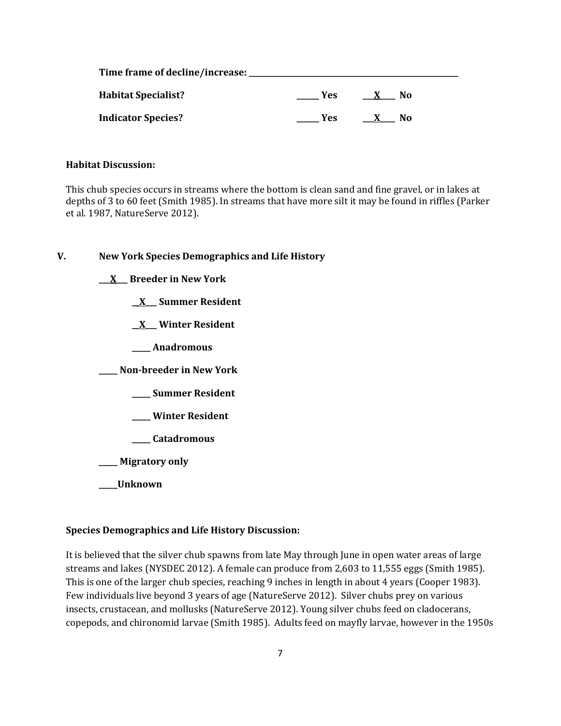| Time frame of decline/increase: |     |    |  |
|---------------------------------|-----|----|--|
| <b>Habitat Specialist?</b>      | Yes | No |  |
| <b>Indicator Species?</b>       | Yes | No |  |

#### **Habitat Discussion:**

This chub species occurs in streams where the bottom is clean sand and fine gravel, or in lakes at depths of 3 to 60 feet (Smith 1985). In streams that have more silt it may be found in riffles (Parker et al. 1987, NatureServe 2012).

#### **V. New York Species Demographics and Life History**

**\_\_\_X\_\_\_ Breeder in New York**

**\_\_X\_\_\_ Summer Resident**

**\_\_X\_\_\_ Winter Resident**

**\_\_\_\_\_ Anadromous**

**\_\_\_\_\_ Non-breeder in New York**

**\_\_\_\_\_ Summer Resident**

**\_\_\_\_\_ Winter Resident**

**\_\_\_\_\_ Catadromous**

**\_\_\_\_\_ Migratory only**

**\_\_\_\_\_Unknown**

#### **Species Demographics and Life History Discussion:**

It is believed that the silver chub spawns from late May through June in open water areas of large streams and lakes (NYSDEC 2012). A female can produce from 2,603 to 11,555 eggs (Smith 1985). This is one of the larger chub species, reaching 9 inches in length in about 4 years (Cooper 1983). Few individuals live beyond 3 years of age (NatureServe 2012). Silver chubs prey on various insects, crustacean, and mollusks (NatureServe 2012). Young silver chubs feed on cladocerans, copepods, and chironomid larvae (Smith 1985). Adults feed on mayfly larvae, however in the 1950s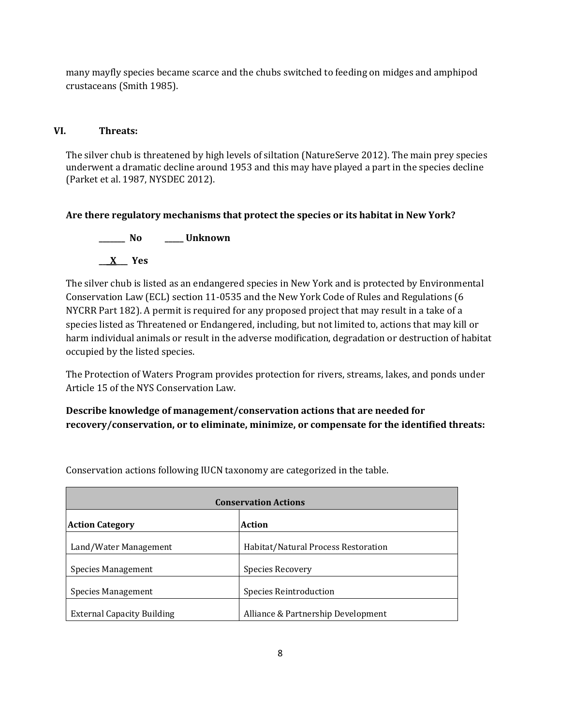many mayfly species became scarce and the chubs switched to feeding on midges and amphipod crustaceans (Smith 1985).

## **VI. Threats:**

The silver chub is threatened by high levels of siltation (NatureServe 2012). The main prey species underwent a dramatic decline around 1953 and this may have played a part in the species decline (Parket et al. 1987, NYSDEC 2012).

## **Are there regulatory mechanisms that protect the species or its habitat in New York?**



The silver chub is listed as an endangered species in New York and is protected by Environmental Conservation Law (ECL) section 11-0535 and the New York Code of Rules and Regulations (6 NYCRR Part 182). A permit is required for any proposed project that may result in a take of a species listed as Threatened or Endangered, including, but not limited to, actions that may kill or harm individual animals or result in the adverse modification, degradation or destruction of habitat occupied by the listed species.

The Protection of Waters Program provides protection for rivers, streams, lakes, and ponds under Article 15 of the NYS Conservation Law.

**Describe knowledge of management/conservation actions that are needed for recovery/conservation, or to eliminate, minimize, or compensate for the identified threats:**

| <b>Conservation Actions</b>       |                                     |  |
|-----------------------------------|-------------------------------------|--|
| <b>Action Category</b>            | Action                              |  |
| Land/Water Management             | Habitat/Natural Process Restoration |  |
| Species Management                | Species Recovery                    |  |
| Species Management                | Species Reintroduction              |  |
| <b>External Capacity Building</b> | Alliance & Partnership Development  |  |

Conservation actions following IUCN taxonomy are categorized in the table.